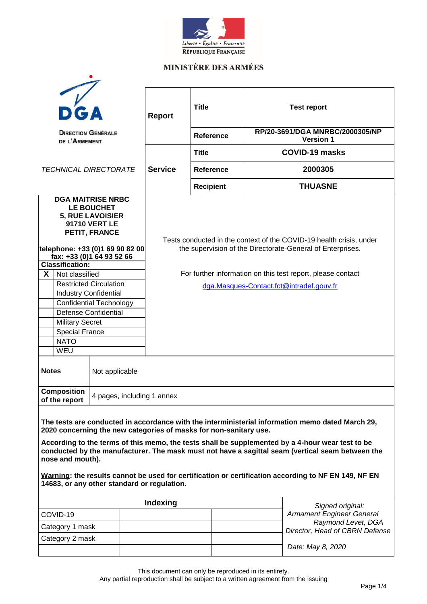

### **MINISTÈRE DES ARMÉES**

|                                                                                                                                                                                                                                                                                                                                                                                                                                                                                                                                                          |                                                         |  | <b>Report</b>                                                                                                                     | <b>Title</b>                                                                                            |                  |                   | <b>Test report</b>                                     |                                                     |  |  |
|----------------------------------------------------------------------------------------------------------------------------------------------------------------------------------------------------------------------------------------------------------------------------------------------------------------------------------------------------------------------------------------------------------------------------------------------------------------------------------------------------------------------------------------------------------|---------------------------------------------------------|--|-----------------------------------------------------------------------------------------------------------------------------------|---------------------------------------------------------------------------------------------------------|------------------|-------------------|--------------------------------------------------------|-----------------------------------------------------|--|--|
|                                                                                                                                                                                                                                                                                                                                                                                                                                                                                                                                                          | <b>DIRECTION GÉNÉRALE</b><br>DE L'ARMEMENT              |  |                                                                                                                                   |                                                                                                         |                  | Reference         |                                                        | RP/20-3691/DGA MNRBC/2000305/NP<br><b>Version 1</b> |  |  |
|                                                                                                                                                                                                                                                                                                                                                                                                                                                                                                                                                          |                                                         |  |                                                                                                                                   | <b>Title</b>                                                                                            |                  |                   | <b>COVID-19 masks</b>                                  |                                                     |  |  |
| <b>TECHNICAL DIRECTORATE</b>                                                                                                                                                                                                                                                                                                                                                                                                                                                                                                                             |                                                         |  | <b>Service</b>                                                                                                                    |                                                                                                         | Reference        |                   | 2000305                                                |                                                     |  |  |
|                                                                                                                                                                                                                                                                                                                                                                                                                                                                                                                                                          |                                                         |  |                                                                                                                                   |                                                                                                         | <b>Recipient</b> |                   |                                                        | <b>THUASNE</b>                                      |  |  |
| <b>DGA MAITRISE NRBC</b><br>LE BOUCHET<br><b>5, RUE LAVOISIER</b><br><b>91710 VERT LE</b><br>PETIT, FRANCE<br>telephone: +33 (0)1 69 90 82 00<br>fax: +33 (0)1 64 93 52 66                                                                                                                                                                                                                                                                                                                                                                               |                                                         |  | Tests conducted in the context of the COVID-19 health crisis, under<br>the supervision of the Directorate-General of Enterprises. |                                                                                                         |                  |                   |                                                        |                                                     |  |  |
|                                                                                                                                                                                                                                                                                                                                                                                                                                                                                                                                                          | <b>Classification:</b>                                  |  |                                                                                                                                   |                                                                                                         |                  |                   |                                                        |                                                     |  |  |
| $\boldsymbol{X}$                                                                                                                                                                                                                                                                                                                                                                                                                                                                                                                                         | Not classified                                          |  |                                                                                                                                   | For further information on this test report, please contact<br>dga.Masques-Contact.fct@intradef.gouv.fr |                  |                   |                                                        |                                                     |  |  |
|                                                                                                                                                                                                                                                                                                                                                                                                                                                                                                                                                          | <b>Restricted Circulation</b>                           |  |                                                                                                                                   |                                                                                                         |                  |                   |                                                        |                                                     |  |  |
|                                                                                                                                                                                                                                                                                                                                                                                                                                                                                                                                                          | <b>Industry Confidential</b><br>Confidential Technology |  |                                                                                                                                   |                                                                                                         |                  |                   |                                                        |                                                     |  |  |
|                                                                                                                                                                                                                                                                                                                                                                                                                                                                                                                                                          |                                                         |  |                                                                                                                                   |                                                                                                         |                  |                   |                                                        |                                                     |  |  |
|                                                                                                                                                                                                                                                                                                                                                                                                                                                                                                                                                          | <b>Defense Confidential</b>                             |  |                                                                                                                                   |                                                                                                         |                  |                   |                                                        |                                                     |  |  |
|                                                                                                                                                                                                                                                                                                                                                                                                                                                                                                                                                          | <b>Military Secret</b><br><b>Special France</b>         |  |                                                                                                                                   |                                                                                                         |                  |                   |                                                        |                                                     |  |  |
|                                                                                                                                                                                                                                                                                                                                                                                                                                                                                                                                                          | <b>NATO</b>                                             |  |                                                                                                                                   |                                                                                                         |                  |                   |                                                        |                                                     |  |  |
|                                                                                                                                                                                                                                                                                                                                                                                                                                                                                                                                                          | WEU                                                     |  |                                                                                                                                   |                                                                                                         |                  |                   |                                                        |                                                     |  |  |
| <b>Notes</b><br>Not applicable                                                                                                                                                                                                                                                                                                                                                                                                                                                                                                                           |                                                         |  |                                                                                                                                   |                                                                                                         |                  |                   |                                                        |                                                     |  |  |
| <b>Composition</b><br>4 pages, including 1 annex<br>of the report                                                                                                                                                                                                                                                                                                                                                                                                                                                                                        |                                                         |  |                                                                                                                                   |                                                                                                         |                  |                   |                                                        |                                                     |  |  |
| The tests are conducted in accordance with the interministerial information memo dated March 29,<br>2020 concerning the new categories of masks for non-sanitary use.<br>According to the terms of this memo, the tests shall be supplemented by a 4-hour wear test to be<br>conducted by the manufacturer. The mask must not have a sagittal seam (vertical seam between the<br>nose and mouth).<br>Warning: the results cannot be used for certification or certification according to NF EN 149, NF EN<br>14683, or any other standard or regulation. |                                                         |  |                                                                                                                                   |                                                                                                         |                  |                   |                                                        |                                                     |  |  |
| Indexing                                                                                                                                                                                                                                                                                                                                                                                                                                                                                                                                                 |                                                         |  |                                                                                                                                   |                                                                                                         |                  |                   |                                                        | Signed original:                                    |  |  |
| COVID-19                                                                                                                                                                                                                                                                                                                                                                                                                                                                                                                                                 |                                                         |  |                                                                                                                                   |                                                                                                         |                  |                   | <b>Armament Engineer General</b><br>Raymond Levet, DGA |                                                     |  |  |
| Category 1 mask                                                                                                                                                                                                                                                                                                                                                                                                                                                                                                                                          |                                                         |  |                                                                                                                                   |                                                                                                         |                  |                   | Director, Head of CBRN Defense                         |                                                     |  |  |
| Category 2 mask                                                                                                                                                                                                                                                                                                                                                                                                                                                                                                                                          |                                                         |  |                                                                                                                                   |                                                                                                         |                  |                   |                                                        |                                                     |  |  |
|                                                                                                                                                                                                                                                                                                                                                                                                                                                                                                                                                          |                                                         |  |                                                                                                                                   |                                                                                                         |                  | Date: May 8, 2020 |                                                        |                                                     |  |  |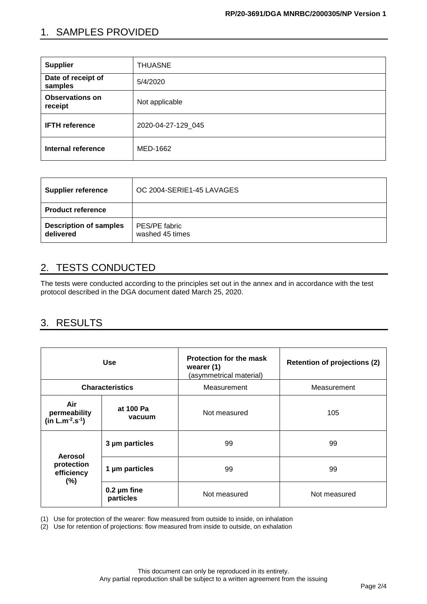## 1. SAMPLES PROVIDED

| <b>Supplier</b>                   | <b>THUASNE</b>     |  |  |
|-----------------------------------|--------------------|--|--|
| Date of receipt of<br>samples     | 5/4/2020           |  |  |
| <b>Observations on</b><br>receipt | Not applicable     |  |  |
| <b>IFTH reference</b>             | 2020-04-27-129 045 |  |  |
| <b>Internal reference</b>         | MED-1662           |  |  |

| <b>Supplier reference</b>                  | OC 2004-SERIE1-45 LAVAGES        |
|--------------------------------------------|----------------------------------|
| <b>Product reference</b>                   |                                  |
| <b>Description of samples</b><br>delivered | PES/PE fabric<br>washed 45 times |

# 2. TESTS CONDUCTED

The tests were conducted according to the principles set out in the annex and in accordance with the test protocol described in the DGA document dated March 25, 2020.

### 3. RESULTS

|                                               | <b>Use</b>                    | <b>Protection for the mask</b><br>wearer (1)<br>(asymmetrical material) | <b>Retention of projections (2)</b> |
|-----------------------------------------------|-------------------------------|-------------------------------------------------------------------------|-------------------------------------|
|                                               | <b>Characteristics</b>        | Measurement                                                             | Measurement                         |
| Air<br>permeability<br>$(in L.m^{-2}.s^{-1})$ | at 100 Pa<br>vacuum           | Not measured                                                            | 105                                 |
| Aerosol                                       | 3 µm particles                | 99                                                                      | 99                                  |
| protection<br>efficiency<br>$(\% )$           | 1 µm particles                | 99                                                                      | 99                                  |
|                                               | $0.2 \mu m$ fine<br>particles | Not measured                                                            | Not measured                        |

(1) Use for protection of the wearer: flow measured from outside to inside, on inhalation

(2) Use for retention of projections: flow measured from inside to outside, on exhalation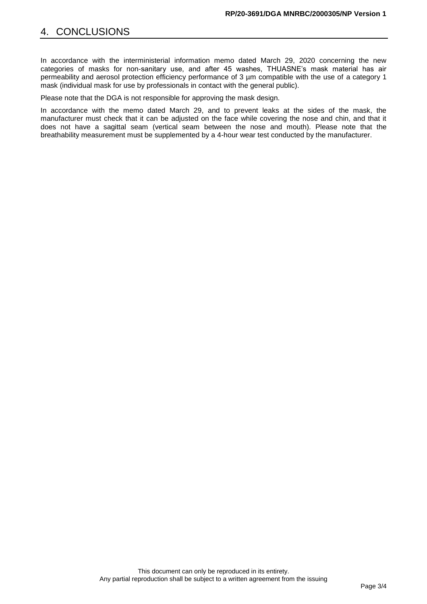In accordance with the interministerial information memo dated March 29, 2020 concerning the new categories of masks for non-sanitary use, and after 45 washes, THUASNE's mask material has air permeability and aerosol protection efficiency performance of 3 µm compatible with the use of a category 1 mask (individual mask for use by professionals in contact with the general public).

Please note that the DGA is not responsible for approving the mask design.

In accordance with the memo dated March 29, and to prevent leaks at the sides of the mask, the manufacturer must check that it can be adjusted on the face while covering the nose and chin, and that it does not have a sagittal seam (vertical seam between the nose and mouth). Please note that the breathability measurement must be supplemented by a 4-hour wear test conducted by the manufacturer.